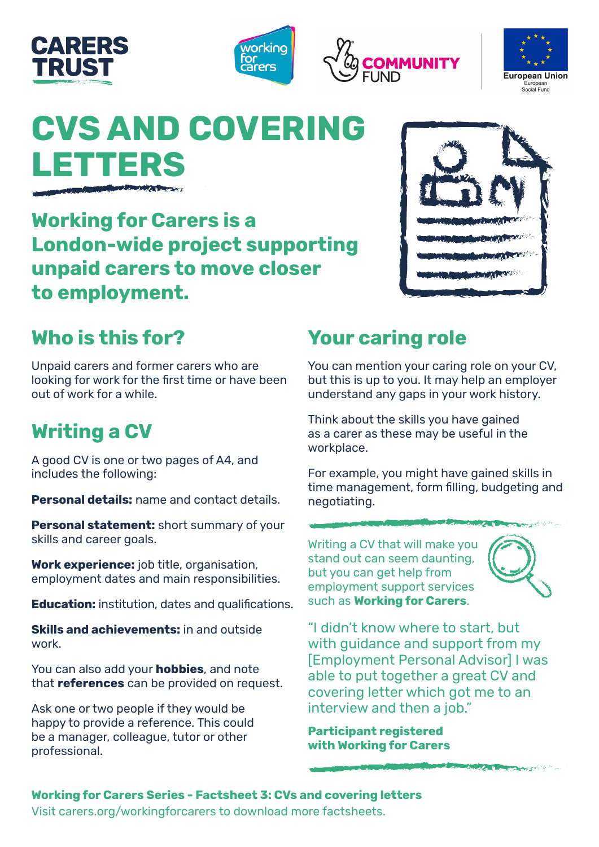







# **CVS AND COVERI LETTERS**

**Working for Carers is a London-wide project supporting unpaid carers to move closer to employment.** 

## **Who is this for?**

Unpaid carers and former carers who are looking for work for the first time or have been out of work for a while.

### **Writing a CV**

A good CV is one or two pages of A4, and includes the following:

**Personal details:** name and contact details.

**Personal statement:** short summary of your skills and career goals.

**Work experience:** job title, organisation, employment dates and main responsibilities.

**Education:** institution, dates and qualifications.

**Skills and achievements:** in and outside work.

You can also add your **hobbies**, and note that **references** can be provided on request.

Ask one or two people if they would be happy to provide a reference. This could be a manager, colleague, tutor or other professional.

# **Your caring role**

You can mention your caring role on your CV, but this is up to you. It may help an employer understand any gaps in your work history.

Think about the skills you have gained as a carer as these may be useful in the workplace.

For example, you might have gained skills in time management, form filling, budgeting and negotiating.

Writing a CV that will make you stand out can seem daunting, but you can get help from employment support services such as **Working for Carers**.



**STATE AND CARD COMPANY** 

"I didn't know where to start, but with guidance and support from my [Employment Personal Advisor] I was able to put together a great CV and covering letter which got me to an interview and then a job."

**Participant registered with Working for Carers**

#### **Working for Carers Series - Factsheet 3: CVs and covering letters** Visit [carers.org/workingforcarers](http://www.carers.org/workingforcarers) to download more factsheets.